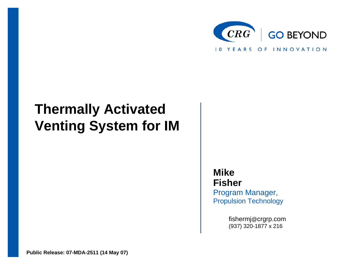

# **Thermally Activated Venting System for IM**

### **Mike Fisher**

Program Manager, Propulsion Technology

> fishermj @crgrp.com (937) 320-1877 x 216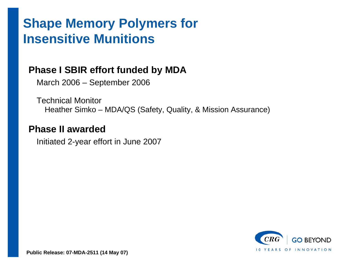## **Shape Memory Polymers for Insensitive Munitions**

### **Phase I SBIR effort funded by MDA**

March 2006 – September 2006

Technical MonitorHeather Simko – MDA/QS (Safety, Quality, & Mission Assurance)

### **Phase II awarded**

Initiated 2-year effort in June 2007

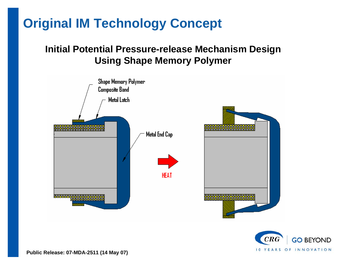## **Original IM Technology Concept**

### **Initial Potential Pressure-release Mechanism Design Using Shape Memory Polymer**



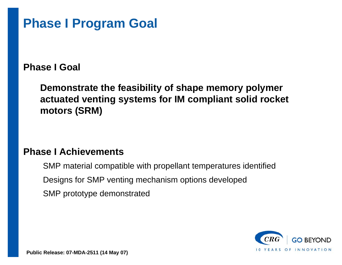## **Phase I Program Goal**

#### **Phase I Goal**

**Demonstrate the feasibility of shape memory polymer actuated venting systems for IM compliant solid rocket motors (SRM)**

#### **Phase I Achievements**

SMP material compatible with propellant temperatures identified Designs for SMP venting mechanism options developed SMP prototype demonstrated

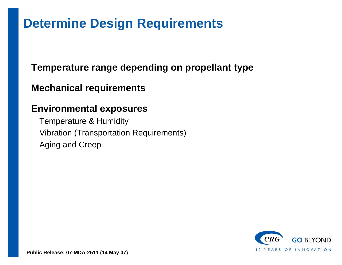## **Determine Design Requirements**

### **Temperature range depending on propellant type**

### **Mechanical requirements**

### **Environmental exposures**

Temperature & Humidity Vibration (Transportation Requirements) Aging and Creep

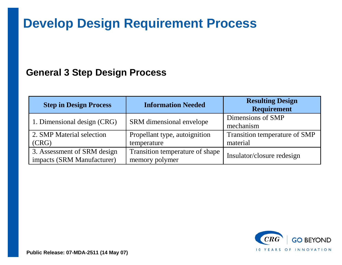## **Develop Design Requirement Process**

#### **General 3 Step Design Process**

| <b>Step in Design Process</b> | <b>Information Needed</b>       | <b>Resulting Design</b><br><b>Requirement</b> |
|-------------------------------|---------------------------------|-----------------------------------------------|
| 1. Dimensional design (CRG)   | SRM dimensional envelope        | Dimensions of SMP                             |
|                               |                                 | mechanism                                     |
| 2. SMP Material selection     | Propellant type, autoignition   | Transition temperature of SMP                 |
| (CRG)                         | temperature                     | material                                      |
| 3. Assessment of SRM design   | Transition temperature of shape | Insulator/closure redesign                    |
| impacts (SRM Manufacturer)    | memory polymer                  |                                               |

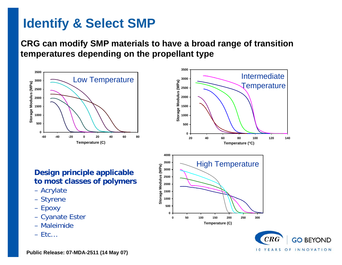## **Identify & Select SMP**

**CRG can modify SMP materials to have a broad range of transition temperatures depending on the propellant type**



#### **Design principle applicable to most classes of polymers**

- Acrylate
- Styrene
- Epoxy
- Cyanate Ester
- Maleimide
- Etc…



OF INNOVATION

YEARS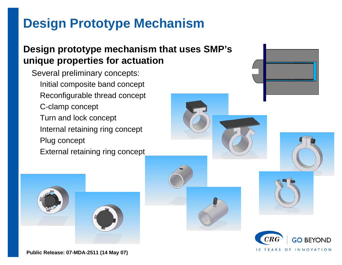### **Design prototype mechanism that uses SMP's unique properties for actuation**

Several preliminary concepts: Initial composite band concept Reconfigurable thread concept C-clamp concept Turn and lock concept Internal retaining ring concept Plug concept External retaining ring concept







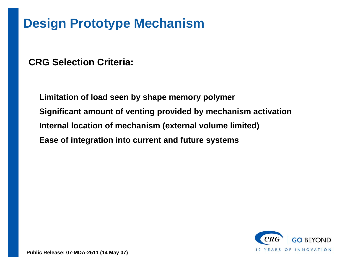**CRG Selection Criteria:**

**Limitation of load seen by shape memory polymer Significant amount of venting provided by mechanism activation Internal location of mechanism (external volume limited) Ease of integration into current and future systems**

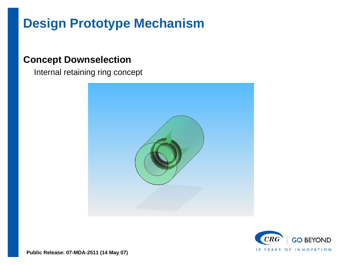#### **Concept Downselection**

Internal retaining ring concept



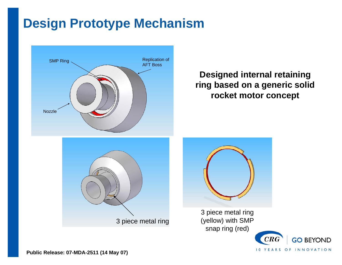

#### **Designed internal retaining ring based on a generic solid rocket motor concept**





3 piece metal ring (yellow) with SMP snap ring (red)

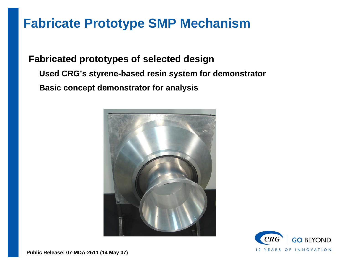**Fabricated prototypes of selected design Used CRG's styrene-based resin system for demonstrator Basic concept demonstrator for analysis**



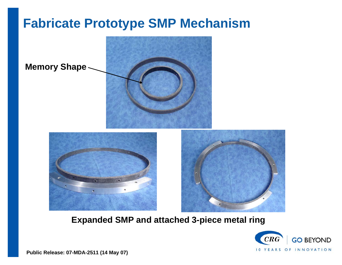

**Expanded SMP and attached 3-piece metal ring**

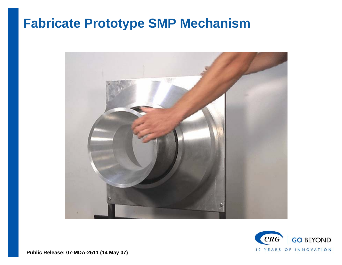

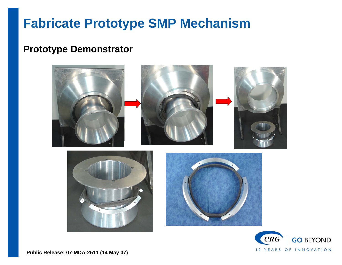#### **Prototype Demonstrator**



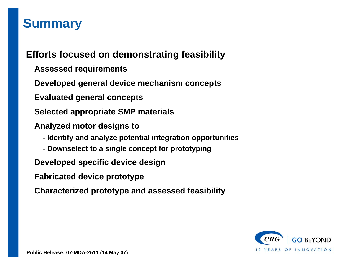### **Summary**

**Efforts focused on demonstrating feasibility** 

- **Assessed requirements**
- **Developed general device mechanism concepts**
- **Evaluated general concepts**
- **Selected appropriate SMP materials**
- **Analyzed motor designs to**
	- **Identify and analyze potential integration opportunities**
	- **Downselect to a single concept for prototyping**

**Developed specific device design**

**Fabricated device prototype**

**Characterized prototype and assessed feasibility**

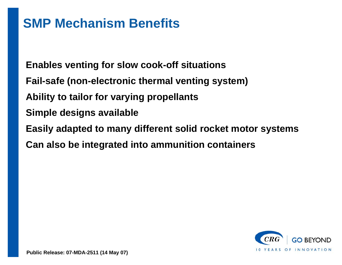## **SMP Mechanism Benefits**

**Enables venting for slow cook-off situations Fail-safe (non-electronic thermal venting system) Ability to tailor for varying propellants Simple designs available Easily adapted to many different solid rocket motor systems Can also be integrated into ammunition containers**